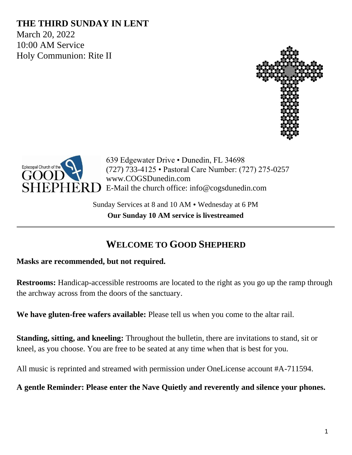# **THE THIRD SUNDAY IN LENT**

March 20, 2022 10:00 AM Service Holy Communion: Rite II





639 Edgewater Drive • Dunedin, FL 34698 (727) 733-4125 • Pastoral Care Number: (727) 275-0257 www.COGSDunedin.com E-Mail the church office: info@cogsdunedin.com

Sunday Services at 8 and 10 AM • Wednesday at 6 PM **Our Sunday 10 AM service is livestreamed**

# **WELCOME TO GOOD SHEPHERD**

#### **Masks are recommended, but not required.**

**Restrooms:** Handicap-accessible restrooms are located to the right as you go up the ramp through the archway across from the doors of the sanctuary.

**We have gluten-free wafers available:** Please tell us when you come to the altar rail.

**Standing, sitting, and kneeling:** Throughout the bulletin, there are invitations to stand, sit or kneel, as you choose. You are free to be seated at any time when that is best for you.

All music is reprinted and streamed with permission under OneLicense account #A-711594.

**A gentle Reminder: Please enter the Nave Quietly and reverently and silence your phones.**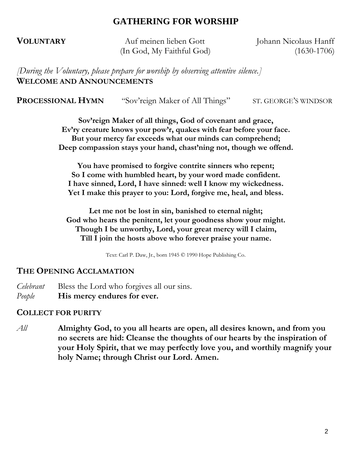## **GATHERING FOR WORSHIP**

**VOLUNTARY** Auf meinen lieben Gott Johann Nicolaus Hanff (In God, My Faithful God) (1630-1706)

*[During the Voluntary, please prepare for worship by observing attentive silence.]* **WELCOME AND ANNOUNCEMENTS**

**PROCESSIONAL HYMN** "Sov'reign Maker of All Things" ST. GEORGE'S WINDSOR

**Sov'reign Maker of all things, God of covenant and grace, Ev'ry creature knows your pow'r, quakes with fear before your face. But your mercy far exceeds what our minds can comprehend; Deep compassion stays your hand, chast'ning not, though we offend.** 

**You have promised to forgive contrite sinners who repent; So I come with humbled heart, by your word made confident. I have sinned, Lord, I have sinned: well I know my wickedness. Yet I make this prayer to you: Lord, forgive me, heal, and bless.**

**Let me not be lost in sin, banished to eternal night; God who hears the penitent, let your goodness show your might. Though I be unworthy, Lord, your great mercy will I claim, Till I join the hosts above who forever praise your name.** 

Text: Carl P. Daw, Jr., born 1945 © 1990 Hope Publishing Co.

#### **THE OPENING ACCLAMATION**

*Celebrant* Bless the Lord who forgives all our sins.

*People* **His mercy endures for ever.**

#### **COLLECT FOR PURITY**

*All* **Almighty God, to you all hearts are open, all desires known, and from you no secrets are hid: Cleanse the thoughts of our hearts by the inspiration of your Holy Spirit, that we may perfectly love you, and worthily magnify your holy Name; through Christ our Lord. Amen.**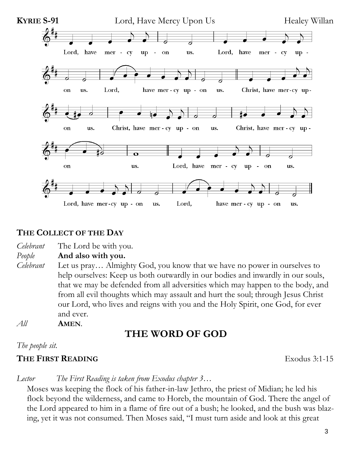

## **THE COLLECT OF THE DAY**

*Celebrant* The Lord be with you.

#### *People* **And also with you.**

- *Celebrant* Let us pray… Almighty God, you know that we have no power in ourselves to help ourselves: Keep us both outwardly in our bodies and inwardly in our souls, that we may be defended from all adversities which may happen to the body, and from all evil thoughts which may assault and hurt the soul; through Jesus Christ our Lord, who lives and reigns with you and the Holy Spirit, one God, for ever and ever.
- *All* **AMEN**.

# **THE WORD OF GOD**

*The people sit.*

#### **THE FIRST READING** Exodus 3:1-15

#### *Lector The First Reading is taken from Exodus chapter 3…*

Moses was keeping the flock of his father-in-law Jethro, the priest of Midian; he led his flock beyond the wilderness, and came to Horeb, the mountain of God. There the angel of the Lord appeared to him in a flame of fire out of a bush; he looked, and the bush was blazing, yet it was not consumed. Then Moses said, "I must turn aside and look at this great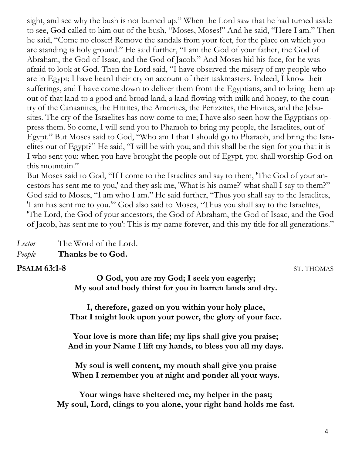sight, and see why the bush is not burned up." When the Lord saw that he had turned aside to see, God called to him out of the bush, "Moses, Moses!" And he said, "Here I am." Then he said, "Come no closer! Remove the sandals from your feet, for the place on which you are standing is holy ground." He said further, "I am the God of your father, the God of Abraham, the God of Isaac, and the God of Jacob." And Moses hid his face, for he was afraid to look at God. Then the Lord said, "I have observed the misery of my people who are in Egypt; I have heard their cry on account of their taskmasters. Indeed, I know their sufferings, and I have come down to deliver them from the Egyptians, and to bring them up out of that land to a good and broad land, a land flowing with milk and honey, to the country of the Canaanites, the Hittites, the Amorites, the Perizzites, the Hivites, and the Jebusites. The cry of the Israelites has now come to me; I have also seen how the Egyptians oppress them. So come, I will send you to Pharaoh to bring my people, the Israelites, out of Egypt." But Moses said to God, "Who am I that I should go to Pharaoh, and bring the Israelites out of Egypt?" He said, "I will be with you; and this shall be the sign for you that it is I who sent you: when you have brought the people out of Egypt, you shall worship God on this mountain."

But Moses said to God, "If I come to the Israelites and say to them, 'The God of your ancestors has sent me to you,' and they ask me, 'What is his name?' what shall I say to them?" God said to Moses, "I am who I am." He said further, "Thus you shall say to the Israelites, 'I am has sent me to you.'" God also said to Moses, "Thus you shall say to the Israelites, 'The Lord, the God of your ancestors, the God of Abraham, the God of Isaac, and the God of Jacob, has sent me to you': This is my name forever, and this my title for all generations."

*Lector* The Word of the Lord.

*People* **Thanks be to God.**

#### **PSALM 63:1-8**ST. THOMAS

**O God, you are my God; I seek you eagerly; My soul and body thirst for you in barren lands and dry.**

**I, therefore, gazed on you within your holy place, That I might look upon your power, the glory of your face.**

**Your love is more than life; my lips shall give you praise; And in your Name I lift my hands, to bless you all my days.**

**My soul is well content, my mouth shall give you praise When I remember you at night and ponder all your ways.**

**Your wings have sheltered me, my helper in the past; My soul, Lord, clings to you alone, your right hand holds me fast.**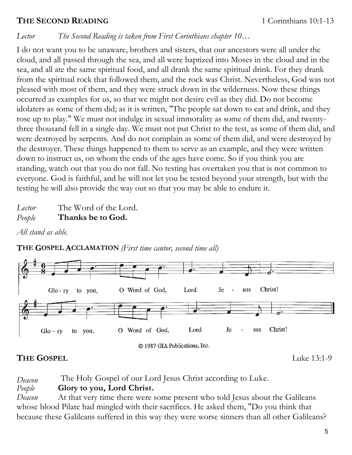## **THE SECOND READING** 1 Corinthians 10:1-13

# *Lector The Second Reading is taken from First Corinthians chapter 10…*

I do not want you to be unaware, brothers and sisters, that our ancestors were all under the cloud, and all passed through the sea, and all were baptized into Moses in the cloud and in the sea, and all ate the same spiritual food, and all drank the same spiritual drink. For they drank from the spiritual rock that followed them, and the rock was Christ. Nevertheless, God was not pleased with most of them, and they were struck down in the wilderness. Now these things occurred as examples for us, so that we might not desire evil as they did. Do not become idolaters as some of them did; as it is written, "The people sat down to eat and drink, and they rose up to play." We must not indulge in sexual immorality as some of them did, and twentythree thousand fell in a single day. We must not put Christ to the test, as some of them did, and were destroyed by serpents. And do not complain as some of them did, and were destroyed by the destroyer. These things happened to them to serve as an example, and they were written down to instruct us, on whom the ends of the ages have come. So if you think you are standing, watch out that you do not fall. No testing has overtaken you that is not common to everyone. God is faithful, and he will not let you be tested beyond your strength, but with the testing he will also provide the way out so that you may be able to endure it.

*Lector* The Word of the Lord.

*People* **Thanks be to God.**

*All stand as able.*

**THE GOSPEL ACCLAMATION** *(First time cantor, second time all)*



# **THE GOSPEL** Luke 13:1-9

*Deacon* The Holy Gospel of our Lord Jesus Christ according to Luke. *People* **Glory to you, Lord Christ.**

*Deacon* At that very time there were some present who told Jesus about the Galileans whose blood Pilate had mingled with their sacrifices. He asked them, "Do you think that because these Galileans suffered in this way they were worse sinners than all other Galileans?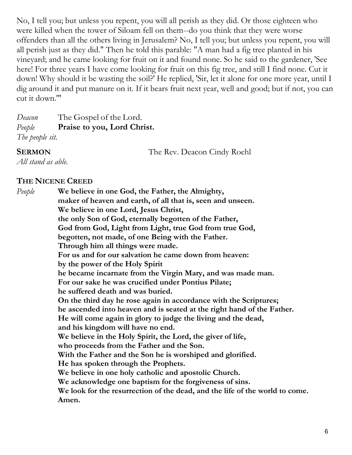No, I tell you; but unless you repent, you will all perish as they did. Or those eighteen who were killed when the tower of Siloam fell on them--do you think that they were worse offenders than all the others living in Jerusalem? No, I tell you; but unless you repent, you will all perish just as they did." Then he told this parable: "A man had a fig tree planted in his vineyard; and he came looking for fruit on it and found none. So he said to the gardener, 'See here! For three years I have come looking for fruit on this fig tree, and still I find none. Cut it down! Why should it be wasting the soil?' He replied, 'Sir, let it alone for one more year, until I dig around it and put manure on it. If it bears fruit next year, well and good; but if not, you can cut it down.'"

| Deacon          | The Gospel of the Lord.     |
|-----------------|-----------------------------|
| People          | Praise to you, Lord Christ. |
| The people sit. |                             |

**SERMON** The Rev. Deacon Cindy Roehl

#### *All stand as able.*

#### **THE NICENE CREED**

*People* **We believe in one God, the Father, the Almighty, maker of heaven and earth, of all that is, seen and unseen. We believe in one Lord, Jesus Christ, the only Son of God, eternally begotten of the Father, God from God, Light from Light, true God from true God, begotten, not made, of one Being with the Father. Through him all things were made. For us and for our salvation he came down from heaven: by the power of the Holy Spirit he became incarnate from the Virgin Mary, and was made man. For our sake he was crucified under Pontius Pilate; he suffered death and was buried. On the third day he rose again in accordance with the Scriptures; he ascended into heaven and is seated at the right hand of the Father. He will come again in glory to judge the living and the dead, and his kingdom will have no end. We believe in the Holy Spirit, the Lord, the giver of life, who proceeds from the Father and the Son. With the Father and the Son he is worshiped and glorified. He has spoken through the Prophets. We believe in one holy catholic and apostolic Church. We acknowledge one baptism for the forgiveness of sins. We look for the resurrection of the dead, and the life of the world to come. Amen.**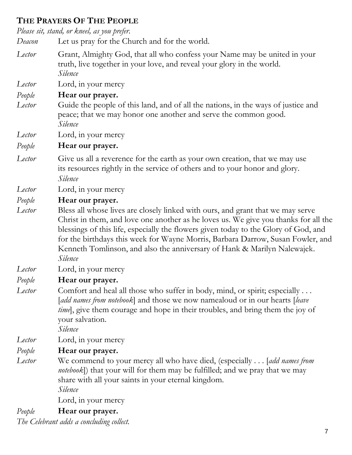# **THE PRAYERS OF THE PEOPLE**

*Please sit, stand, or kneel, as you prefer.*

*Deacon* Let us pray for the Church and for the world.

*Lector* Grant, Almighty God, that all who confess your Name may be united in your truth, live together in your love, and reveal your glory in the world. *Silence*

*Lector* Lord, in your mercy

#### *People* **Hear our prayer.**

*Lector* Guide the people of this land, and of all the nations, in the ways of justice and peace; that we may honor one another and serve the common good. *Silence*

*Lector* Lord, in your mercy

#### *People* **Hear our prayer.**

- *Lector* Give us all a reverence for the earth as your own creation, that we may use its resources rightly in the service of others and to your honor and glory. *Silence*
- *Lector* Lord, in your mercy

#### *People* **Hear our prayer.**

- *Lector* Bless all whose lives are closely linked with ours, and grant that we may serve Christ in them, and love one another as he loves us. We give you thanks for all the blessings of this life, especially the flowers given today to the Glory of God, and for the birthdays this week for Wayne Morris, Barbara Darrow, Susan Fowler, and Kenneth Tomlinson, and also the anniversary of Hank & Marilyn Nalewajek. *Silence*
- *Lector* Lord, in your mercy

*People* **Hear our prayer.**

*Lector* Comfort and heal all those who suffer in body, mind, or spirit; especially ... [*add names from notebook*] and those we now namealoud or in our hearts [*leave time*], give them courage and hope in their troubles, and bring them the joy of your salvation.

*Silence*

*Lector* Lord, in your mercy

## *People* **Hear our prayer.**

*Lector* We commend to your mercy all who have died, (especially . . . [*add names from notebook*]) that your will for them may be fulfilled; and we pray that we may share with all your saints in your eternal kingdom. *Silence*

Lord, in your mercy

## *People* **Hear our prayer.**

*The Celebrant adds a concluding collect.*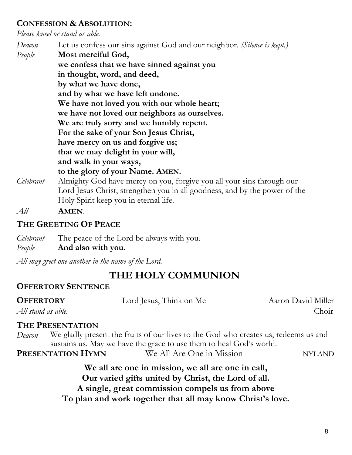#### **CONFESSION & ABSOLUTION:**

*Please kneel or stand as able.*

*Deacon* Let us confess our sins against God and our neighbor. *(Silence is kept.)* 

*People* **Most merciful God, we confess that we have sinned against you in thought, word, and deed, by what we have done, and by what we have left undone. We have not loved you with our whole heart; we have not loved our neighbors as ourselves. We are truly sorry and we humbly repent. For the sake of your Son Jesus Christ, have mercy on us and forgive us; that we may delight in your will, and walk in your ways, to the glory of your Name. AMEN.** *Celebrant* Almighty God have mercy on you, forgive you all your sins through our

Lord Jesus Christ, strengthen you in all goodness, and by the power of the Holy Spirit keep you in eternal life.

*All* **AMEN**.

## **THE GREETING OF PEACE**

*Celebrant* The peace of the Lord be always with you.

*People* **And also with you.**

*All may greet one another in the name of the Lord.*

# **THE HOLY COMMUNION**

## **OFFERTORY SENTENCE**

| <b>OFFERTORY</b>   |                         | Lord Jesus, Think on Me | Aaron David Miller                                                                  |
|--------------------|-------------------------|-------------------------|-------------------------------------------------------------------------------------|
| All stand as able. |                         |                         | Choir                                                                               |
|                    | <b>THE PRESENTATION</b> |                         |                                                                                     |
| Deacon             |                         |                         | We gladly present the fruits of our lives to the God who creates us, redeems us and |

sustains us. May we have the grace to use them to heal God's world. **PRESENTATION HYMN** We All Are One in Mission NYLAND

> **We all are one in mission, we all are one in call, Our varied gifts united by Christ, the Lord of all. A single, great commission compels us from above To plan and work together that all may know Christ's love.**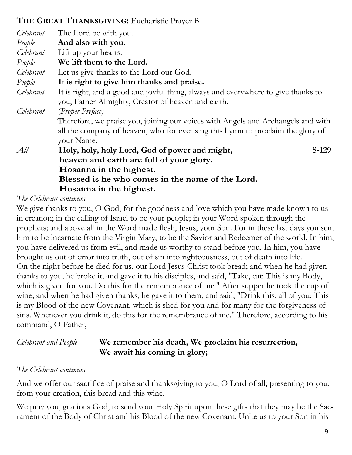# **THE GREAT THANKSGIVING:** Eucharistic Prayer B

| Celebrant | The Lord be with you.                                                                                                                                                             |         |  |
|-----------|-----------------------------------------------------------------------------------------------------------------------------------------------------------------------------------|---------|--|
| People    | And also with you.                                                                                                                                                                |         |  |
| Celebrant | Lift up your hearts.                                                                                                                                                              |         |  |
| People    | We lift them to the Lord.                                                                                                                                                         |         |  |
| Celebrant | Let us give thanks to the Lord our God.                                                                                                                                           |         |  |
| People    | It is right to give him thanks and praise.                                                                                                                                        |         |  |
| Celebrant | It is right, and a good and joyful thing, always and everywhere to give thanks to<br>you, Father Almighty, Creator of heaven and earth.                                           |         |  |
| Celebrant | (Proper Preface)                                                                                                                                                                  |         |  |
|           | Therefore, we praise you, joining our voices with Angels and Archangels and with<br>all the company of heaven, who for ever sing this hymn to proclaim the glory of<br>your Name: |         |  |
| All       | Holy, holy, holy Lord, God of power and might,                                                                                                                                    | $S-129$ |  |
|           | heaven and earth are full of your glory.                                                                                                                                          |         |  |
|           | Hosanna in the highest.                                                                                                                                                           |         |  |
|           | Blessed is he who comes in the name of the Lord.                                                                                                                                  |         |  |
|           | Hosanna in the highest.                                                                                                                                                           |         |  |

#### *The Celebrant continues*

We give thanks to you, O God, for the goodness and love which you have made known to us in creation; in the calling of Israel to be your people; in your Word spoken through the prophets; and above all in the Word made flesh, Jesus, your Son. For in these last days you sent him to be incarnate from the Virgin Mary, to be the Savior and Redeemer of the world. In him, you have delivered us from evil, and made us worthy to stand before you. In him, you have brought us out of error into truth, out of sin into righteousness, out of death into life. On the night before he died for us, our Lord Jesus Christ took bread; and when he had given thanks to you, he broke it, and gave it to his disciples, and said, "Take, eat: This is my Body, which is given for you. Do this for the remembrance of me." After supper he took the cup of wine; and when he had given thanks, he gave it to them, and said, "Drink this, all of you: This is my Blood of the new Covenant, which is shed for you and for many for the forgiveness of sins. Whenever you drink it, do this for the remembrance of me." Therefore, according to his command, O Father,

## *Celebrant and People* **We remember his death, We proclaim his resurrection, We await his coming in glory;**

## *The Celebrant continues*

And we offer our sacrifice of praise and thanksgiving to you, O Lord of all; presenting to you, from your creation, this bread and this wine.

We pray you, gracious God, to send your Holy Spirit upon these gifts that they may be the Sacrament of the Body of Christ and his Blood of the new Covenant. Unite us to your Son in his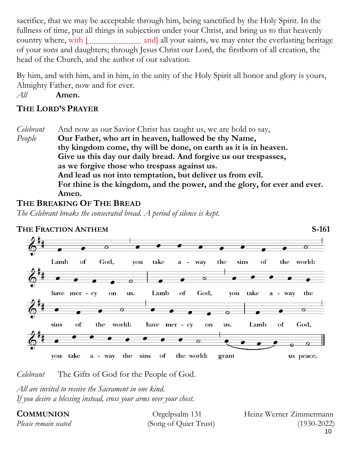sacrifice, that we may be acceptable through him, being sanctified by the Holy Spirit. In the fullness of time, put all things in subjection under your Christ, and bring us to that heavenly country where, with  $\lbrack$  and all your saints, we may enter the everlasting heritage of your sons and daughters; through Jesus Christ our Lord, the firstborn of all creation, the head of the Church, and the author of our salvation.

By him, and with him, and in him, in the unity of the Holy Spirit all honor and glory is yours, Almighty Father, now and for ever.

*All* **Amen.** 

# **THE LORD'S PRAYER**

*Celebrant* And now as our Savior Christ has taught us, we are bold to say, *People* **Our Father, who art in heaven, hallowed be thy Name, thy kingdom come, thy will be done, on earth as it is in heaven. Give us this day our daily bread. And forgive us our trespasses, as we forgive those who trespass against us. And lead us not into temptation, but deliver us from evil. For thine is the kingdom, and the power, and the glory, for ever and ever. Amen.**

# **THE BREAKING OF THE BREAD**

*The Celebrant breaks the consecrated bread. A period of silence is kept.*



*Celebrant* The Gifts of God for the People of God.

*All are invited to receive the Sacrament in one kind. If you desire a blessing instead, cross your arms over your chest.*

10 **COMMUNION** Orgelpsalm 131 Heinz Werner Zimmermann *Please remain seated* (Song of Quiet Trust) (1930-2022)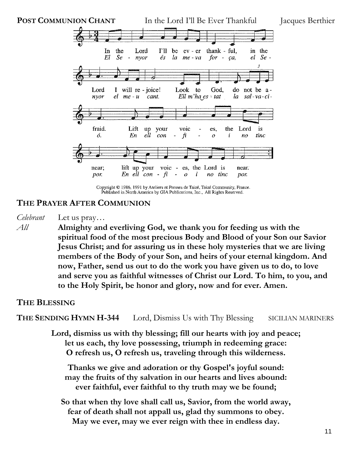

Copyright © 1986, 1991 by Ateliers et Presses de Taizé, Taizé Community, France. Published in North America by GIA Publications, Inc., All Rights Reserved.

#### **THE PRAYER AFTER COMMUNION**

*Celebrant* Let us pray…

*All* **Almighty and everliving God, we thank you for feeding us with the spiritual food of the most precious Body and Blood of your Son our Savior Jesus Christ; and for assuring us in these holy mysteries that we are living members of the Body of your Son, and heirs of your eternal kingdom. And now, Father, send us out to do the work you have given us to do, to love and serve you as faithful witnesses of Christ our Lord. To him, to you, and to the Holy Spirit, be honor and glory, now and for ever. Amen.**

#### **THE BLESSING**

**THE SENDING HYMN H-344** Lord, Dismiss Us with Thy Blessing SICILIAN MARINERS

**Lord, dismiss us with thy blessing; fill our hearts with joy and peace; let us each, thy love possessing, triumph in redeeming grace: O refresh us, O refresh us, traveling through this wilderness.**

**Thanks we give and adoration or thy Gospel's joyful sound: may the fruits of thy salvation in our hearts and lives abound: ever faithful, ever faithful to thy truth may we be found;**

**So that when thy love shall call us, Savior, from the world away, fear of death shall not appall us, glad thy summons to obey. May we ever, may we ever reign with thee in endless day.**